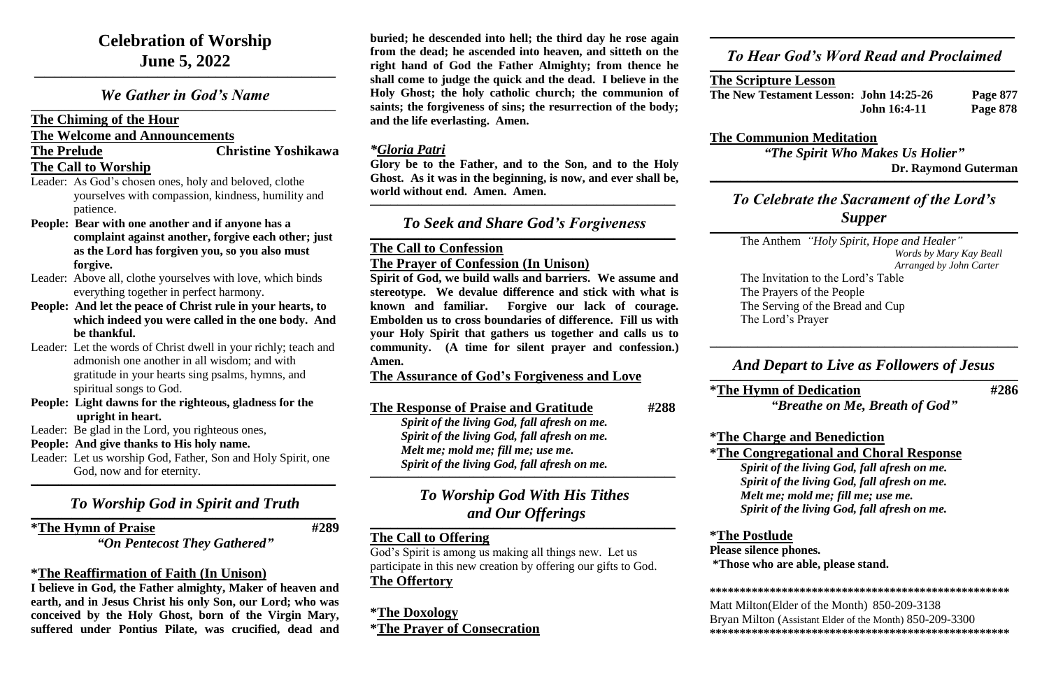# **Celebration of Worship June 5, 2022 \_\_\_\_\_\_\_\_\_\_\_\_\_\_\_\_\_\_\_\_\_\_\_\_\_\_\_\_\_\_\_\_\_\_\_\_\_\_\_\_\_\_\_\_\_\_\_\_\_\_\_\_\_\_\_\_\_\_\_\_\_\_\_\_\_\_\_\_\_\_\_\_\_\_\_\_\_\_\_\_\_\_\_\_\_\_\_\_**

### *We Gather in God's Name*  $\mathcal{L}_\mathcal{L} = \mathcal{L}_\mathcal{L} = \mathcal{L}_\mathcal{L} = \mathcal{L}_\mathcal{L} = \mathcal{L}_\mathcal{L} = \mathcal{L}_\mathcal{L} = \mathcal{L}_\mathcal{L} = \mathcal{L}_\mathcal{L} = \mathcal{L}_\mathcal{L} = \mathcal{L}_\mathcal{L} = \mathcal{L}_\mathcal{L} = \mathcal{L}_\mathcal{L} = \mathcal{L}_\mathcal{L} = \mathcal{L}_\mathcal{L} = \mathcal{L}_\mathcal{L} = \mathcal{L}_\mathcal{L} = \mathcal{L}_\mathcal{L}$

## **The Chiming of the Hour**

# **The Welcome and Announcements**

# **The Prelude Christine Yoshikawa**

# **The Call to Worship**

### *To Worship God in Spirit and Truth*  $\mathcal{L}_\mathcal{L} = \mathcal{L}_\mathcal{L} = \mathcal{L}_\mathcal{L} = \mathcal{L}_\mathcal{L} = \mathcal{L}_\mathcal{L} = \mathcal{L}_\mathcal{L} = \mathcal{L}_\mathcal{L} = \mathcal{L}_\mathcal{L} = \mathcal{L}_\mathcal{L} = \mathcal{L}_\mathcal{L} = \mathcal{L}_\mathcal{L} = \mathcal{L}_\mathcal{L} = \mathcal{L}_\mathcal{L} = \mathcal{L}_\mathcal{L} = \mathcal{L}_\mathcal{L} = \mathcal{L}_\mathcal{L} = \mathcal{L}_\mathcal{L}$

- Leader: As God's chosen ones, holy and beloved, clothe yourselves with compassion, kindness, humility and patience.
- **People: Bear with one another and if anyone has a complaint against another, forgive each other; just as the Lord has forgiven you, so you also must forgive.**
- Leader: Above all, clothe yourselves with love, which binds everything together in perfect harmony.
- **People: And let the peace of Christ rule in your hearts, to which indeed you were called in the one body. And be thankful.**
- Leader: Let the words of Christ dwell in your richly; teach and admonish one another in all wisdom; and with gratitude in your hearts sing psalms, hymns, and spiritual songs to God.
- **People: Light dawns for the righteous, gladness for the upright in heart.**
- Leader: Be glad in the Lord, you righteous ones,
- **People: And give thanks to His holy name.**
- Leader: Let us worship God, Father, Son and Holy Spirit, one God, now and for eternity.

### *To Seek and Share God's Forgiveness*  $\mathcal{L}_\mathcal{L} = \mathcal{L}_\mathcal{L} = \mathcal{L}_\mathcal{L} = \mathcal{L}_\mathcal{L} = \mathcal{L}_\mathcal{L} = \mathcal{L}_\mathcal{L} = \mathcal{L}_\mathcal{L} = \mathcal{L}_\mathcal{L} = \mathcal{L}_\mathcal{L} = \mathcal{L}_\mathcal{L} = \mathcal{L}_\mathcal{L} = \mathcal{L}_\mathcal{L} = \mathcal{L}_\mathcal{L} = \mathcal{L}_\mathcal{L} = \mathcal{L}_\mathcal{L} = \mathcal{L}_\mathcal{L} = \mathcal{L}_\mathcal{L}$

**\_\_\_\_\_\_\_\_\_\_\_\_\_\_\_\_\_\_\_\_\_\_\_\_\_\_\_\_\_\_\_\_\_\_\_\_\_\_\_\_\_\_\_\_\_\_\_\_\_\_\_\_\_\_\_\_\_\_\_\_\_\_\_\_\_\_\_\_\_\_\_\_\_\_\_\_\_\_\_\_\_\_\_\_\_\_\_\_\_**

# **\*The Hymn of Praise #289**

*"On Pentecost They Gathered"*

# **\*The Reaffirmation of Faith (In Unison)**

## *To Worship God With His Tithes and Our Offerings*  $\mathcal{L}_\mathcal{L} = \mathcal{L}_\mathcal{L} = \mathcal{L}_\mathcal{L} = \mathcal{L}_\mathcal{L} = \mathcal{L}_\mathcal{L} = \mathcal{L}_\mathcal{L} = \mathcal{L}_\mathcal{L} = \mathcal{L}_\mathcal{L} = \mathcal{L}_\mathcal{L} = \mathcal{L}_\mathcal{L} = \mathcal{L}_\mathcal{L} = \mathcal{L}_\mathcal{L} = \mathcal{L}_\mathcal{L} = \mathcal{L}_\mathcal{L} = \mathcal{L}_\mathcal{L} = \mathcal{L}_\mathcal{L} = \mathcal{L}_\mathcal{L}$

**I believe in God, the Father almighty, Maker of heaven and earth, and in Jesus Christ his only Son, our Lord; who was conceived by the Holy Ghost, born of the Virgin Mary, suffered under Pontius Pilate, was crucified, dead and** 

 $\mathcal{L}_\mathcal{L} = \mathcal{L}_\mathcal{L} = \mathcal{L}_\mathcal{L} = \mathcal{L}_\mathcal{L} = \mathcal{L}_\mathcal{L} = \mathcal{L}_\mathcal{L} = \mathcal{L}_\mathcal{L} = \mathcal{L}_\mathcal{L} = \mathcal{L}_\mathcal{L} = \mathcal{L}_\mathcal{L} = \mathcal{L}_\mathcal{L} = \mathcal{L}_\mathcal{L} = \mathcal{L}_\mathcal{L} = \mathcal{L}_\mathcal{L} = \mathcal{L}_\mathcal{L} = \mathcal{L}_\mathcal{L} = \mathcal{L}_\mathcal{L}$ **The Scripture Lesson The New Testament Lesson: John 14:25-26 Page 877 John 16:4-11 Page 878**

**buried; he descended into hell; the third day he rose again from the dead; he ascended into heaven, and sitteth on the right hand of God the Father Almighty; from thence he shall come to judge the quick and the dead. I believe in the Holy Ghost; the holy catholic church; the communion of saints; the forgiveness of sins; the resurrection of the body; and the life everlasting. Amen.**

# *\*Gloria Patri*

**Glory be to the Father, and to the Son, and to the Holy Ghost. As it was in the beginning, is now, and ever shall be, world without end. Amen. Amen. \_\_\_\_\_\_\_\_\_\_\_\_\_\_\_\_\_\_\_\_\_\_\_\_\_\_\_\_\_\_\_\_\_\_\_\_\_\_\_\_\_\_\_\_\_\_\_\_\_\_\_\_\_\_\_\_\_\_\_\_\_\_\_\_\_\_\_\_\_\_\_\_\_\_\_\_\_\_\_\_\_\_\_\_\_\_\_\_\_**

# **The Call to Confession The Prayer of Confession (In Unison)**

**Spirit of God, we build walls and barriers. We assume and stereotype. We devalue difference and stick with what is known and familiar. Forgive our lack of courage. Embolden us to cross boundaries of difference. Fill us with your Holy Spirit that gathers us together and calls us to community. (A time for silent prayer and confession.) Amen.**

**The Assurance of God's Forgiveness and Love**

**The Response of Praise and Gratitude #288** 

## *Spirit of the living God, fall afresh on me. Spirit of the living God, fall afresh on me. Melt me; mold me; fill me; use me. Spirit of the living God, fall afresh on me.*

**\_\_\_\_\_\_\_\_\_\_\_\_\_\_\_\_\_\_\_\_\_\_\_\_\_\_\_\_\_\_\_\_\_\_\_\_\_\_\_\_\_\_\_\_\_\_\_\_\_\_\_\_\_\_\_\_\_\_\_\_\_\_\_\_\_\_\_\_\_\_\_\_\_\_\_\_\_\_\_\_\_\_\_\_\_\_\_\_\_**

# **The Call to Offering**

God's Spirit is among us making all things new. Let us participate in this new creation by offering our gifts to God.

# **The Offertory**

**\*The Doxology \*The Prayer of Consecration**

**\_\_\_\_\_\_\_\_\_\_\_\_\_\_\_\_\_\_\_\_\_\_\_\_\_\_\_\_\_\_\_\_\_\_\_\_\_\_\_\_\_\_\_\_\_\_\_\_\_\_\_\_\_\_\_\_\_\_\_\_\_\_\_\_\_\_\_\_\_\_\_\_\_\_\_\_\_\_\_\_\_\_\_\_\_\_\_\_\_**

*To Hear God's Word Read and Proclaimed*

**The Communion Meditation**  *"The Spirit Who Makes Us Holier"*  **Dr. Raymond Guterman**

**\_\_\_\_\_\_\_\_\_\_\_\_\_\_\_\_\_\_\_\_\_\_\_\_\_\_\_\_\_\_\_\_\_\_\_\_\_\_\_\_\_\_\_\_\_\_\_\_\_\_\_\_\_\_\_\_\_\_\_\_\_\_\_\_\_\_\_\_\_\_\_\_\_\_\_\_\_\_\_\_\_\_\_\_\_\_\_\_\_\_**

# *To Celebrate the Sacrament of the Lord's Supper*

**\_\_\_\_\_\_\_\_\_\_\_\_\_\_\_\_\_\_\_\_\_\_\_\_\_\_\_\_\_\_\_\_\_\_\_\_\_\_\_\_\_\_\_\_\_\_\_\_\_\_\_\_\_\_\_\_\_\_\_\_\_\_\_\_\_\_\_\_\_\_\_\_\_\_\_\_\_\_\_\_\_\_\_\_\_\_\_\_\_\_**

The Anthem *"Holy Spirit, Hope and Healer" Words by Mary Kay Beall Arranged by John Carter*

The Invitation to the Lord's Table The Prayers of the People The Serving of the Bread and Cup The Lord's Prayer

**\_\_\_\_\_\_\_\_\_\_\_\_\_\_\_\_\_\_\_\_\_\_\_\_\_\_\_\_\_\_\_\_\_\_\_\_\_\_\_\_\_\_\_\_\_\_\_\_\_\_\_\_\_\_\_\_\_\_\_\_\_\_\_\_\_\_\_\_\_\_\_\_\_\_\_\_\_\_\_\_\_\_\_\_\_\_\_\_\_\_**

# *And Depart to Live as Followers of Jesus*

**\_\_\_\_\_\_\_\_\_\_\_\_\_\_\_\_\_\_\_\_\_\_\_\_\_\_\_\_\_\_\_\_\_\_\_\_\_\_\_\_\_\_\_\_\_\_\_\_\_\_\_\_\_\_\_\_\_\_\_\_\_\_\_\_\_\_\_\_\_\_\_\_\_\_\_\_\_\_\_\_\_\_\_\_\_\_\_\_\_\_**

**\*The Hymn of Dedication #286** *"Breathe on Me, Breath of God"*

**\*The Charge and Benediction**

**\*The Congregational and Choral Response** *Spirit of the living God, fall afresh on me.*

*Spirit of the living God, fall afresh on me. Melt me; mold me; fill me; use me. Spirit of the living God, fall afresh on me.*

# **\*The Postlude Please silence phones.**

**\*Those who are able, please stand.**

**\*\*\*\*\*\*\*\*\*\*\*\*\*\*\*\*\*\*\*\*\*\*\*\*\*\*\*\*\*\*\*\*\*\*\*\*\*\*\*\*\*\*\*\*\*\*\*\*\*\***

Matt Milton(Elder of the Month) 850-209-3138 Bryan Milton (Assistant Elder of the Month) 850-209-3300 **\*\*\*\*\*\*\*\*\*\*\*\*\*\*\*\*\*\*\*\*\*\*\*\*\*\*\*\*\*\*\*\*\*\*\*\*\*\*\*\*\*\*\*\*\*\*\*\*\*\***